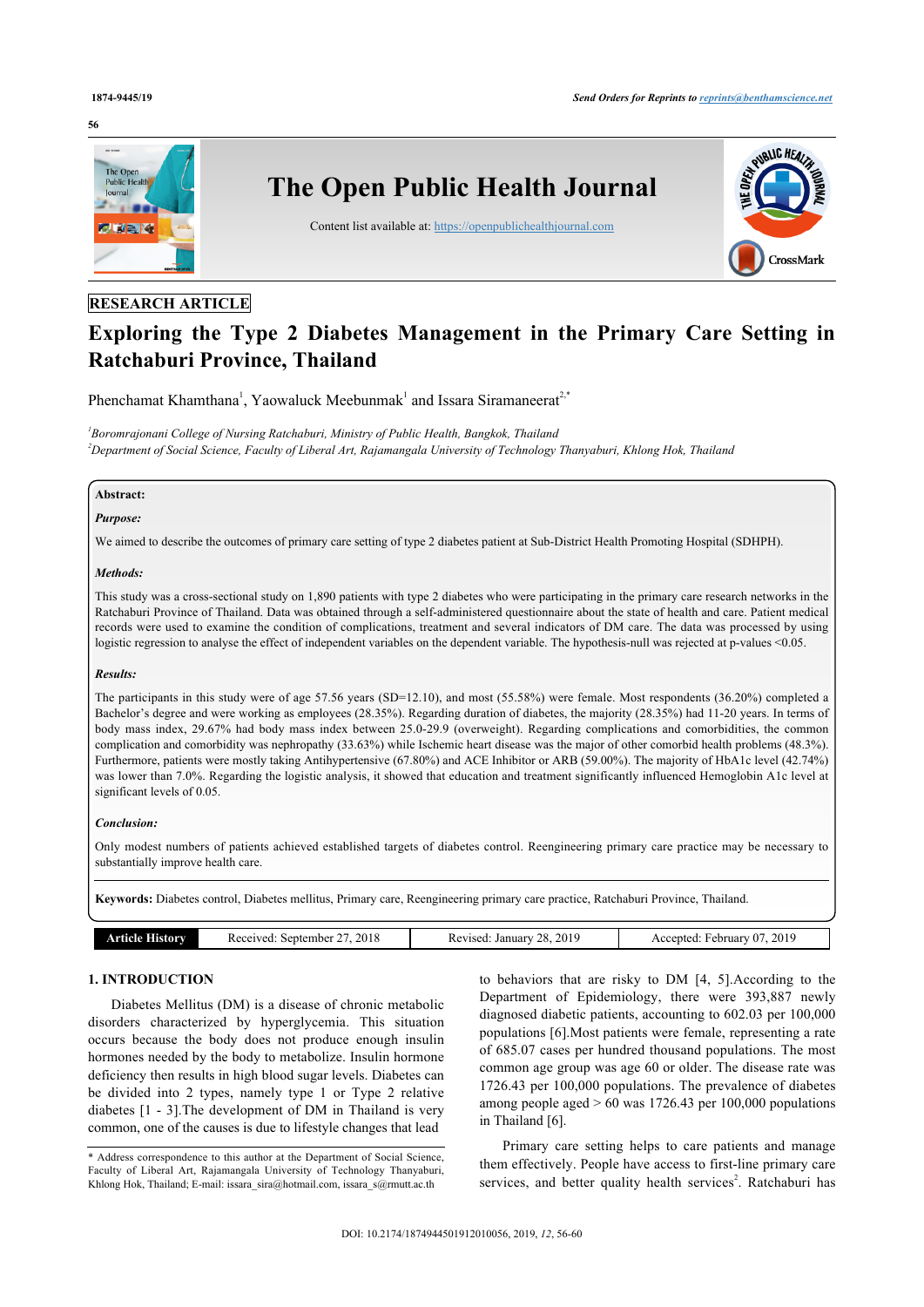#### **56**



# **RESEARCH ARTICLE**

# **Exploring the Type 2 Diabetes Management in the Primary Care Setting in Ratchaburi Province, Thailand**

Phenchamat Khamthana<sup>[1](#page-0-1)</sup>, Yaowaluck Meebunmak<sup>1</sup> and Issara Siramaneerat<sup>[2](#page-0-1),[\\*](#page-0-2)</sup>

<span id="page-0-1"></span><span id="page-0-0"></span>*1 Boromrajonani College of Nursing Ratchaburi, Ministry of Public Health, Bangkok, Thailand <sup>2</sup>Department of Social Science, Faculty of Liberal Art, Rajamangala University of Technology Thanyaburi, Khlong Hok, Thailand*

# **Abstract:** *Purpose:*

We aimed to describe the outcomes of primary care setting of type 2 diabetes patient at Sub-District Health Promoting Hospital (SDHPH).

#### *Methods:*

This study was a cross-sectional study on 1,890 patients with type 2 diabetes who were participating in the primary care research networks in the Ratchaburi Province of Thailand. Data was obtained through a self-administered questionnaire about the state of health and care. Patient medical records were used to examine the condition of complications, treatment and several indicators of DM care. The data was processed by using logistic regression to analyse the effect of independent variables on the dependent variable. The hypothesis-null was rejected at p-values <0.05.

#### *Results:*

The participants in this study were of age 57.56 years (SD=12.10), and most (55.58%) were female. Most respondents (36.20%) completed a Bachelor's degree and were working as employees (28.35%). Regarding duration of diabetes, the majority (28.35%) had 11-20 years. In terms of body mass index, 29.67% had body mass index between 25.0-29.9 (overweight). Regarding complications and comorbidities, the common complication and comorbidity was nephropathy (33.63%) while Ischemic heart disease was the major of other comorbid health problems (48.3%). Furthermore, patients were mostly taking Antihypertensive (67.80%) and ACE Inhibitor or ARB (59.00%). The majority of HbA1c level (42.74%) was lower than 7.0%. Regarding the logistic analysis, it showed that education and treatment significantly influenced Hemoglobin A1c level at significant levels of 0.05.

#### *Conclusion:*

Only modest numbers of patients achieved established targets of diabetes control. Reengineering primary care practice may be necessary to substantially improve health care.

**Keywords:** Diabetes control, Diabetes mellitus, Primary care, Reengineering primary care practice, Ratchaburi Province, Thailand.

| 2019<br>2018<br>2019<br>September<br>Accepted<br>7 O T<br>Received:<br>'eviseq.<br>ebruary<br>istory<br>. January 1<br>ATHEIGH |
|--------------------------------------------------------------------------------------------------------------------------------|
|--------------------------------------------------------------------------------------------------------------------------------|

# **1. INTRODUCTION**

Diabetes Mellitus (DM) is a disease of chronic metabolic disorders characterized by hyperglycemia. This situation occurs because the body does not produce enough insulin hormones needed by the body to metabolize. Insulin hormone deficiency then results in high blood sugar levels. Diabetes can be divided into 2 types, namely type 1 or Type 2 relative diabetes [\[1](#page-3-0) - [3\]](#page-3-1).The development of DM in Thailand is very common, one of the causes is due to lifestyle changes that lead

to behaviors that are risky to DM [\[4,](#page-3-2) [5](#page-3-3)].According to the Department of Epidemiology, there were 393,887 newly diagnosed diabetic patients, accounting to 602.03 per 100,000 populations [\[6](#page-3-4)].Most patients were female, representing a rate of 685.07 cases per hundred thousand populations. The most common age group was age 60 or older. The disease rate was 1726.43 per 100,000 populations. The prevalence of diabetes among people aged  $> 60$  was 1726.43 per 100,000 populations in Thailand [\[6\]](#page-3-4).

Primary care setting helps to care patients and manage them effectively. People have access to first-line primary care services, and better quality health services<sup>2</sup>. Ratchaburi has

<span id="page-0-2"></span><sup>\*</sup> Address correspondence to this author at the Department of Social Science, Faculty of Liberal Art, Rajamangala University of Technology Thanyaburi, Khlong Hok, Thailand; E-mail: [issara\\_sira@hotmail.com,](mailto:issara_sira@hotmail.com) [issara\\_s@rmutt.ac.th](mailto:issara_s@rmutt.ac.th)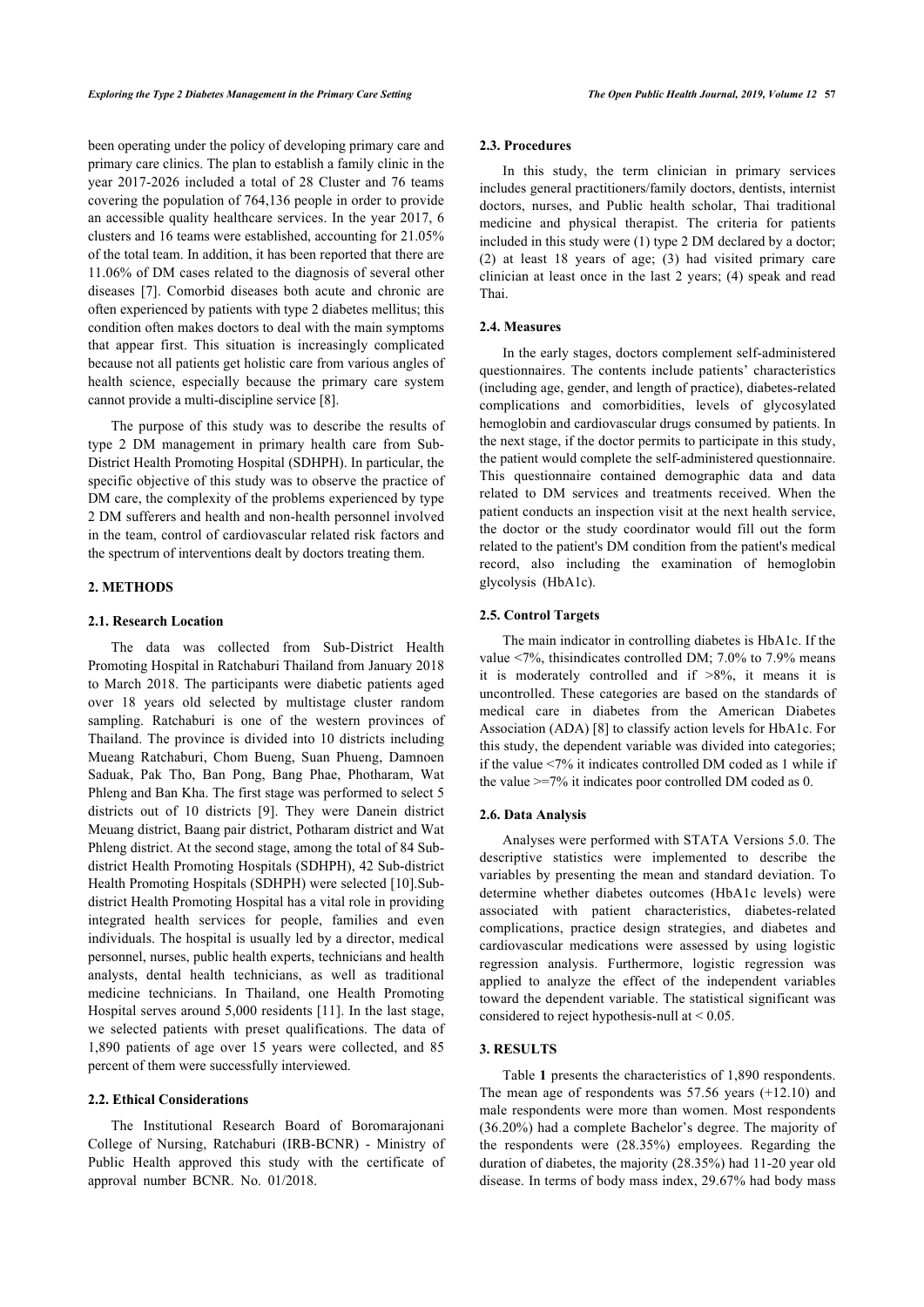been operating under the policy of developing primary care and primary care clinics. The plan to establish a family clinic in the year 2017-2026 included a total of 28 Cluster and 76 teams covering the population of 764,136 people in order to provide an accessible quality healthcare services. In the year 2017, 6 clusters and 16 teams were established, accounting for 21.05% of the total team. In addition, it has been reported that there are 11.06% of DM cases related to the diagnosis of several other diseases[[7](#page-3-5)]. Comorbid diseases both acute and chronic are often experienced by patients with type 2 diabetes mellitus; this condition often makes doctors to deal with the main symptoms that appear first. This situation is increasingly complicated because not all patients get holistic care from various angles of health science, especially because the primary care system cannot provide a multi-discipline service [[8](#page-3-6)].

The purpose of this study was to describe the results of type 2 DM management in primary health care from Sub-District Health Promoting Hospital (SDHPH). In particular, the specific objective of this study was to observe the practice of DM care, the complexity of the problems experienced by type 2 DM sufferers and health and non-health personnel involved in the team, control of cardiovascular related risk factors and the spectrum of interventions dealt by doctors treating them.

# **2. METHODS**

#### **2.1. Research Location**

The data was collected from Sub-District Health Promoting Hospital in Ratchaburi Thailand from January 2018 to March 2018. The participants were diabetic patients aged over 18 years old selected by multistage cluster random sampling. Ratchaburi is one of the western provinces of Thailand. The province is divided into 10 districts including Mueang Ratchaburi, Chom Bueng, Suan Phueng, Damnoen Saduak, Pak Tho, Ban Pong, Bang Phae, Photharam, Wat Phleng and Ban Kha. The first stage was performed to select 5 districts out of 10 districts [\[9](#page-3-7)]. They were Danein district Meuang district, Baang pair district, Potharam district and Wat Phleng district. At the second stage, among the total of 84 Subdistrict Health Promoting Hospitals (SDHPH), 42 Sub-district Health Promoting Hospitals (SDHPH) were selected [[10\]](#page-4-0).Subdistrict Health Promoting Hospital has a vital role in providing integrated health services for people, families and even individuals. The hospital is usually led by a director, medical personnel, nurses, public health experts, technicians and health analysts, dental health technicians, as well as traditional medicine technicians. In Thailand, one Health Promoting Hospital serves around 5,000 residents [\[11\]](#page-4-1). In the last stage, we selected patients with preset qualifications. The data of 1,890 patients of age over 15 years were collected, and 85 percent of them were successfully interviewed.

### **2.2. Ethical Considerations**

The Institutional Research Board of Boromarajonani College of Nursing, Ratchaburi (IRB-BCNR) - Ministry of Public Health approved this study with the certificate of approval number BCNR. No. 01/2018.

#### **2.3. Procedures**

In this study, the term clinician in primary services includes general practitioners/family doctors, dentists, internist doctors, nurses, and Public health scholar, Thai traditional medicine and physical therapist. The criteria for patients included in this study were (1) type 2 DM declared by a doctor; (2) at least 18 years of age; (3) had visited primary care clinician at least once in the last 2 years; (4) speak and read Thai.

#### **2.4. Measures**

In the early stages, doctors complement self-administered questionnaires. The contents include patients' characteristics (including age, gender, and length of practice), diabetes-related complications and comorbidities, levels of glycosylated hemoglobin and cardiovascular drugs consumed by patients. In the next stage, if the doctor permits to participate in this study, the patient would complete the self-administered questionnaire. This questionnaire contained demographic data and data related to DM services and treatments received. When the patient conducts an inspection visit at the next health service, the doctor or the study coordinator would fill out the form related to the patient's DM condition from the patient's medical record, also including the examination of hemoglobin glycolysis (HbA1c).

#### **2.5. Control Targets**

The main indicator in controlling diabetes is HbA1c. If the value <7%, thisindicates controlled DM; 7.0% to 7.9% means it is moderately controlled and if  $>8\%$ , it means it is uncontrolled. These categories are based on the standards of medical care in diabetes from the American Diabetes Association (ADA) [\[8\]](#page-3-6) to classify action levels for HbA1c. For this study, the dependent variable was divided into categories; if the value <7% it indicates controlled DM coded as 1 while if the value  $\geq$ =7% it indicates poor controlled DM coded as 0.

#### **2.6. Data Analysis**

Analyses were performed with STATA Versions 5.0. The descriptive statistics were implemented to describe the variables by presenting the mean and standard deviation. To determine whether diabetes outcomes (HbA1c levels) were associated with patient characteristics, diabetes-related complications, practice design strategies, and diabetes and cardiovascular medications were assessed by using logistic regression analysis. Furthermore, logistic regression was applied to analyze the effect of the independent variables toward the dependent variable. The statistical significant was considered to reject hypothesis-null at < 0.05.

# **3. RESULTS**

Table **1** presents the characteristics of 1,890 respondents. The mean age of respondents was 57.56 years (+12.10) and male respondents were more than women. Most respondents (36.20%) had a complete Bachelor's degree. The majority of the respondents were (28.35%) employees. Regarding the duration of diabetes, the majority (28.35%) had 11-20 year old disease. In terms of body mass index, 29.67% had body mass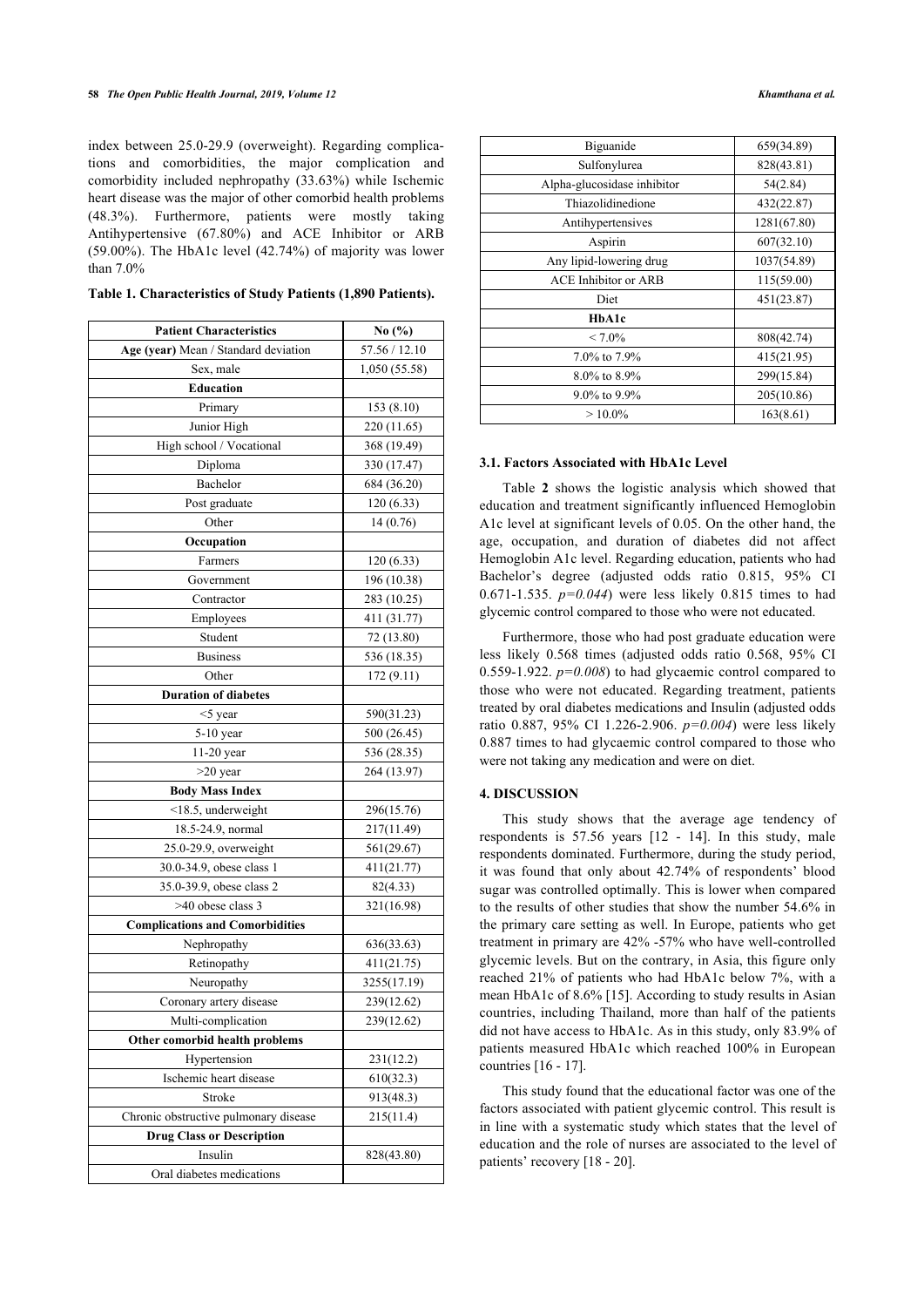index between 25.0-29.9 (overweight). Regarding complications and comorbidities, the major complication and comorbidity included nephropathy (33.63%) while Ischemic heart disease was the major of other comorbid health problems (48.3%). Furthermore, patients were mostly taking Antihypertensive (67.80%) and ACE Inhibitor or ARB (59.00%). The HbA1c level (42.74%) of majority was lower than 7.0%

| <b>Patient Characteristics</b>         | No (%)        |
|----------------------------------------|---------------|
| Age (year) Mean / Standard deviation   | 57.56 / 12.10 |
| Sex, male                              | 1,050 (55.58) |
| <b>Education</b>                       |               |
| Primary                                | 153(8.10)     |
| Junior High                            | 220 (11.65)   |
| High school / Vocational               | 368 (19.49)   |
| Diploma                                | 330 (17.47)   |
| Bachelor                               | 684 (36.20)   |
| Post graduate                          | 120(6.33)     |
| Other                                  | 14(0.76)      |
| Occupation                             |               |
| Farmers                                | 120(6.33)     |
| Government                             | 196 (10.38)   |
| Contractor                             | 283 (10.25)   |
| Employees                              | 411 (31.77)   |
| Student                                | 72 (13.80)    |
| <b>Business</b>                        | 536 (18.35)   |
| Other                                  | 172(9.11)     |
| <b>Duration of diabetes</b>            |               |
| $<$ 5 year                             | 590(31.23)    |
| $5-10$ year                            | 500 (26.45)   |
| 11-20 year                             | 536 (28.35)   |
| $>20$ year                             | 264 (13.97)   |
| <b>Body Mass Index</b>                 |               |
| $<$ 18.5, underweight                  | 296(15.76)    |
| 18.5-24.9, normal                      | 217(11.49)    |
| 25.0-29.9, overweight                  | 561(29.67)    |
| 30.0-34.9, obese class 1               | 411(21.77)    |
| 35.0-39.9, obese class 2               | 82(4.33)      |
| >40 obese class 3                      | 321(16.98)    |
| <b>Complications and Comorbidities</b> |               |
| Nephropathy                            | 636(33.63)    |
| Retinopathy                            | 411(21.75)    |
| Neuropathy                             | 3255(17.19)   |
| Coronary artery disease                | 239(12.62)    |
| Multi-complication                     | 239(12.62)    |
| Other comorbid health problems         |               |
| Hypertension                           | 231(12.2)     |
| Ischemic heart disease                 | 610(32.3)     |
| Stroke                                 | 913(48.3)     |
| Chronic obstructive pulmonary disease  | 215(11.4)     |
| <b>Drug Class or Description</b>       |               |
| Insulin                                | 828(43.80)    |
| Oral diabetes medications              |               |

| Table 1. Characteristics of Study Patients (1,890 Patients). |  |  |
|--------------------------------------------------------------|--|--|
|--------------------------------------------------------------|--|--|

| <b>Biguanide</b>            | 659(34.89)  |
|-----------------------------|-------------|
| Sulfonylurea                | 828(43.81)  |
| Alpha-glucosidase inhibitor | 54(2.84)    |
| Thiazolidinedione           | 432(22.87)  |
| Antihypertensives           | 1281(67.80) |
| Aspirin                     | 607(32.10)  |
| Any lipid-lowering drug     | 1037(54.89) |
| <b>ACE Inhibitor or ARB</b> | 115(59.00)  |
| Diet                        | 451(23.87)  |
| HbA1c                       |             |
| $< 7.0\%$                   | 808(42.74)  |
| 7.0% to 7.9%                | 415(21.95)  |
| $8.0\%$ to $8.9\%$          | 299(15.84)  |
| $9.0\%$ to $9.9\%$          | 205(10.86)  |
| $>10.0\%$                   | 163(8.61)   |

# **3.1. Factors Associated with HbA1c Level**

Table **2** shows the logistic analysis which showed that education and treatment significantly influenced Hemoglobin A1c level at significant levels of 0.05. On the other hand, the age, occupation, and duration of diabetes did not affect Hemoglobin A1c level. Regarding education, patients who had Bachelor's degree (adjusted odds ratio 0.815, 95% CI 0.671-1.535. *p=0.044*) were less likely 0.815 times to had glycemic control compared to those who were not educated.

Furthermore, those who had post graduate education were less likely 0.568 times (adjusted odds ratio 0.568, 95% CI 0.559-1.922.  $p=0.008$ ) to had glycaemic control compared to those who were not educated. Regarding treatment, patients treated by oral diabetes medications and Insulin (adjusted odds ratio 0.887, 95% CI 1.226-2.906. *p=0.004*) were less likely 0.887 times to had glycaemic control compared to those who were not taking any medication and were on diet.

#### **4. DISCUSSION**

This study shows that the average age tendency of respondents is 57.56 years[[12](#page-4-2) - [14\]](#page-4-3). In this study, male respondents dominated. Furthermore, during the study period, it was found that only about 42.74% of respondents' blood sugar was controlled optimally. This is lower when compared to the results of other studies that show the number 54.6% in the primary care setting as well. In Europe, patients who get treatment in primary are 42% -57% who have well-controlled glycemic levels. But on the contrary, in Asia, this figure only reached 21% of patients who had HbA1c below 7%, with a mean HbA1c of 8.6% [\[15\]](#page-4-4). According to study results in Asian countries, including Thailand, more than half of the patients did not have access to HbA1c. As in this study, only 83.9% of patients measured HbA1c which reached 100% in European countries [\[16](#page-4-5) - [17\]](#page-4-6).

This study found that the educational factor was one of the factors associated with patient glycemic control. This result is in line with a systematic study which states that the level of education and the role of nurses are associated to the level of patients' recovery [[18](#page-4-7) - [20](#page-4-8)].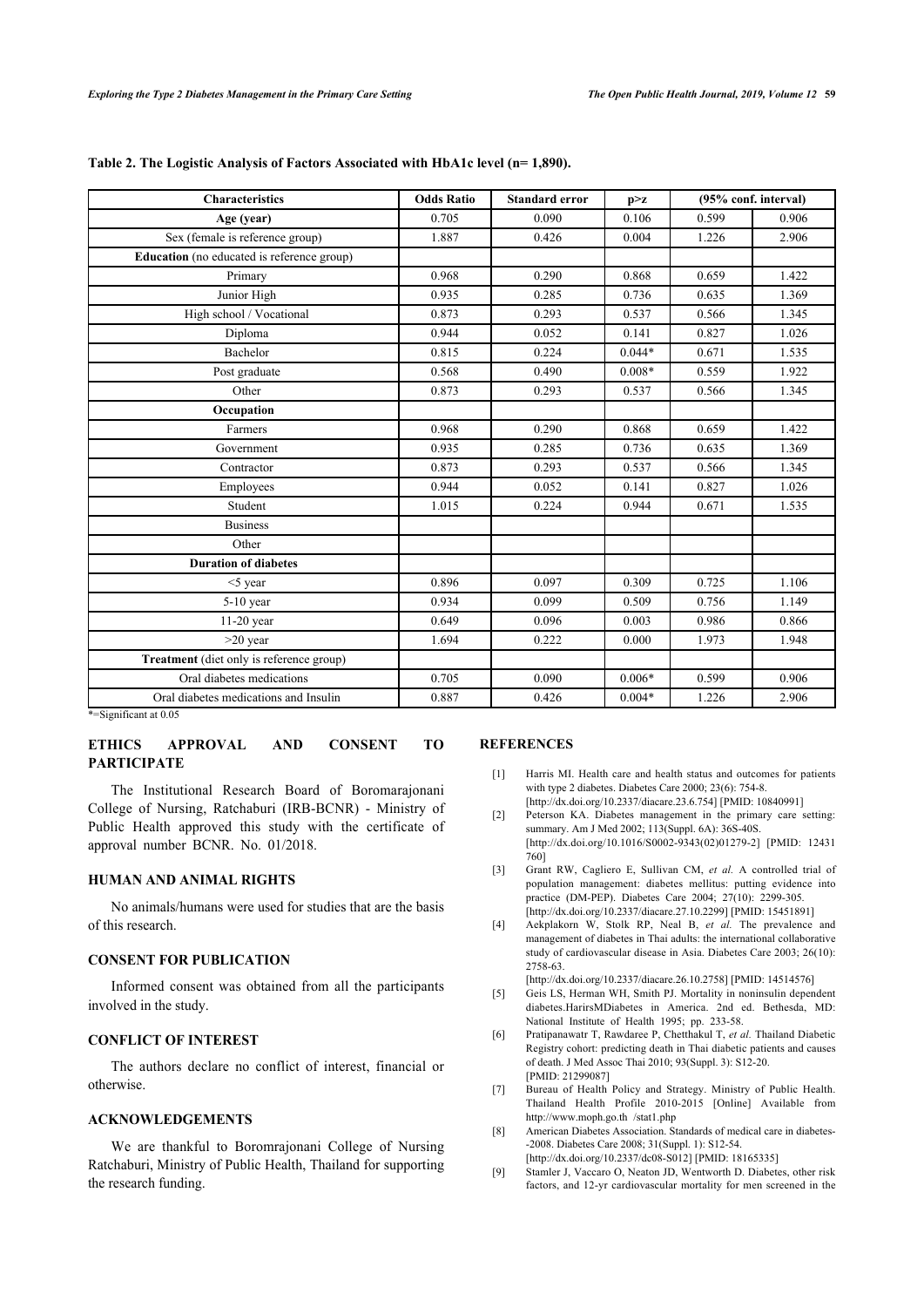| <b>Characteristics</b>                     | <b>Odds Ratio</b> | <b>Standard error</b> | p > z    | (95% conf. interval) |       |
|--------------------------------------------|-------------------|-----------------------|----------|----------------------|-------|
| Age (year)                                 | 0.705             | 0.090                 | 0.106    | 0.599                | 0.906 |
| Sex (female is reference group)            | 1.887             | 0.426                 | 0.004    | 1.226                | 2.906 |
| Education (no educated is reference group) |                   |                       |          |                      |       |
| Primary                                    | 0.968             | 0.290                 | 0.868    | 0.659                | 1.422 |
| Junior High                                | 0.935             | 0.285                 | 0.736    | 0.635                | 1.369 |
| High school / Vocational                   | 0.873             | 0.293                 | 0.537    | 0.566                | 1.345 |
| Diploma                                    | 0.944             | 0.052                 | 0.141    | 0.827                | 1.026 |
| Bachelor                                   | 0.815             | 0.224                 | $0.044*$ | 0.671                | 1.535 |
| Post graduate                              | 0.568             | 0.490                 | $0.008*$ | 0.559                | 1.922 |
| Other                                      | 0.873             | 0.293                 | 0.537    | 0.566                | 1.345 |
| Occupation                                 |                   |                       |          |                      |       |
| Farmers                                    | 0.968             | 0.290                 | 0.868    | 0.659                | 1.422 |
| Government                                 | 0.935             | 0.285                 | 0.736    | 0.635                | 1.369 |
| Contractor                                 | 0.873             | 0.293                 | 0.537    | 0.566                | 1.345 |
| Employees                                  | 0.944             | 0.052                 | 0.141    | 0.827                | 1.026 |
| Student                                    | 1.015             | 0.224                 | 0.944    | 0.671                | 1.535 |
| <b>Business</b>                            |                   |                       |          |                      |       |
| Other                                      |                   |                       |          |                      |       |
| <b>Duration of diabetes</b>                |                   |                       |          |                      |       |
| $<$ 5 year                                 | 0.896             | 0.097                 | 0.309    | 0.725                | 1.106 |
| $5-10$ year                                | 0.934             | 0.099                 | 0.509    | 0.756                | 1.149 |
| $11-20$ year                               | 0.649             | 0.096                 | 0.003    | 0.986                | 0.866 |
| $>20$ year                                 | 1.694             | 0.222                 | 0.000    | 1.973                | 1.948 |
| Treatment (diet only is reference group)   |                   |                       |          |                      |       |
| Oral diabetes medications                  | 0.705             | 0.090                 | $0.006*$ | 0.599                | 0.906 |
| Oral diabetes medications and Insulin      | 0.887             | 0.426                 | $0.004*$ | 1.226                | 2.906 |

#### **Table 2. The Logistic Analysis of Factors Associated with HbA1c level (n= 1,890).**

\*=Significant at 0.05

# **ETHICS APPROVAL AND CONSENT TO PARTICIPATE**

<span id="page-3-0"></span>The Institutional Research Board of Boromarajonani College of Nursing, Ratchaburi (IRB-BCNR) - Ministry of Public Health approved this study with the certificate of approval number BCNR. No. 01/2018.

#### <span id="page-3-1"></span>**HUMAN AND ANIMAL RIGHTS**

<span id="page-3-2"></span>No animals/humans were used for studies that are the basis of this research.

# **CONSENT FOR PUBLICATION**

<span id="page-3-3"></span>Informed consent was obtained from all the participants involved in the study.

# <span id="page-3-4"></span>**CONFLICT OF INTEREST**

<span id="page-3-5"></span>The authors declare no conflict of interest, financial or otherwise.

### **ACKNOWLEDGEMENTS**

<span id="page-3-7"></span><span id="page-3-6"></span>We are thankful to Boromrajonani College of Nursing Ratchaburi, Ministry of Public Health, Thailand for supporting the research funding.

## **REFERENCES**

- [1] Harris MI. Health care and health status and outcomes for patients with type 2 diabetes. Diabetes Care 2000; 23(6): 754-8. [\[http://dx.doi.org/10.2337/diacare.23.6.754\]](http://dx.doi.org/10.2337/diacare.23.6.754) [PMID: [10840991\]](http://www.ncbi.nlm.nih.gov/pubmed/10840991)
- [2] Peterson KA. Diabetes management in the primary care setting: summary. Am J Med 2002; 113(Suppl. 6A): 36S-40S. [\[http://dx.doi.org/10.1016/S0002-9343\(02\)01279-2](http://dx.doi.org/10.1016/S0002-9343(02)01279-2)] [PMID: [12431](http://www.ncbi.nlm.nih.gov/pubmed/12431%20760) [760](http://www.ncbi.nlm.nih.gov/pubmed/12431%20760)]
- [3] Grant RW, Cagliero E, Sullivan CM, *et al.* A controlled trial of population management: diabetes mellitus: putting evidence into practice (DM-PEP). Diabetes Care 2004; 27(10): 2299-305. [\[http://dx.doi.org/10.2337/diacare.27.10.2299\]](http://dx.doi.org/10.2337/diacare.27.10.2299) [PMID: [15451891\]](http://www.ncbi.nlm.nih.gov/pubmed/15451891)
- [4] Aekplakorn W, Stolk RP, Neal B, *et al.* The prevalence and management of diabetes in Thai adults: the international collaborative study of cardiovascular disease in Asia. Diabetes Care 2003; 26(10): 2758-63.

[\[http://dx.doi.org/10.2337/diacare.26.10.2758\]](http://dx.doi.org/10.2337/diacare.26.10.2758) [PMID: [14514576\]](http://www.ncbi.nlm.nih.gov/pubmed/14514576)

- [5] Geis LS, Herman WH, Smith PJ. Mortality in noninsulin dependent diabetes.HarirsMDiabetes in America. 2nd ed. Bethesda, MD: National Institute of Health 1995; pp. 233-58.
- [6] Pratipanawatr T, Rawdaree P, Chetthakul T, *et al.* Thailand Diabetic Registry cohort: predicting death in Thai diabetic patients and causes of death. J Med Assoc Thai 2010; 93(Suppl. 3): S12-20. [PMID: [21299087\]](http://www.ncbi.nlm.nih.gov/pubmed/21299087)
- [7] Bureau of Health Policy and Strategy. Ministry of Public Health. Thailand Health Profile 2010-2015 [Online] Available from [http://www.moph.go.th /stat1.php](http://www.moph.go.th/stat1.php)
- [8] American Diabetes Association. Standards of medical care in diabetes- -2008. Diabetes Care 2008; 31(Suppl. 1): S12-54. [\[http://dx.doi.org/10.2337/dc08-S012\]](http://dx.doi.org/10.2337/dc08-S012) [PMID: [18165335](http://www.ncbi.nlm.nih.gov/pubmed/18165335)]
- [9] Stamler J, Vaccaro O, Neaton JD, Wentworth D. Diabetes, other risk factors, and 12-yr cardiovascular mortality for men screened in the